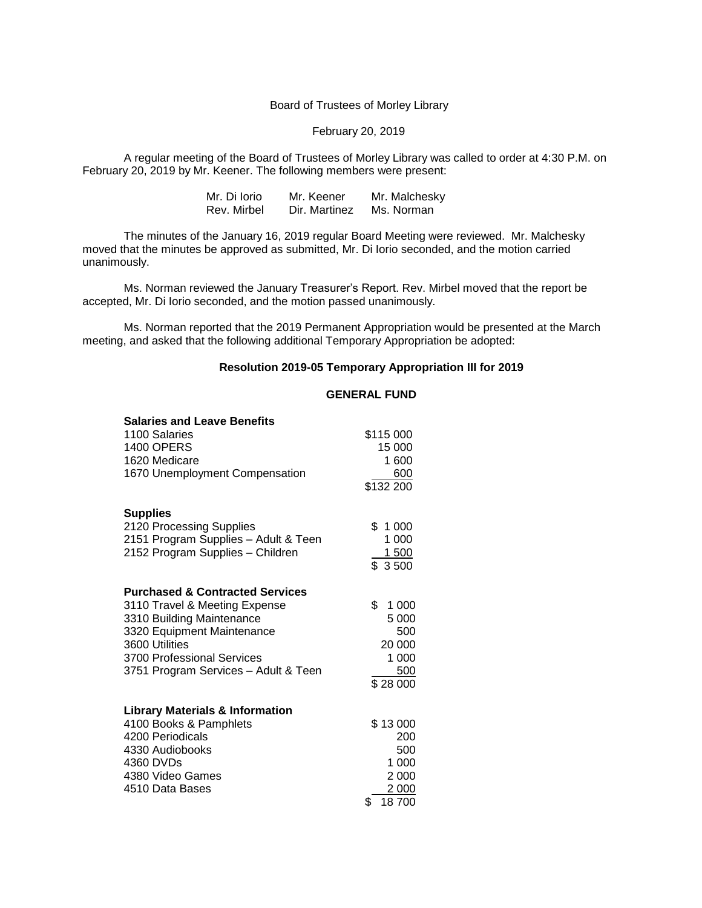Board of Trustees of Morley Library

February 20, 2019

A regular meeting of the Board of Trustees of Morley Library was called to order at 4:30 P.M. on February 20, 2019 by Mr. Keener. The following members were present:

| Mr. Di Iorio | Mr. Keener    | Mr. Malchesky |
|--------------|---------------|---------------|
| Rev. Mirbel  | Dir. Martinez | Ms. Norman    |

The minutes of the January 16, 2019 regular Board Meeting were reviewed. Mr. Malchesky moved that the minutes be approved as submitted, Mr. Di Iorio seconded, and the motion carried unanimously.

Ms. Norman reviewed the January Treasurer's Report. Rev. Mirbel moved that the report be accepted, Mr. Di Iorio seconded, and the motion passed unanimously.

Ms. Norman reported that the 2019 Permanent Appropriation would be presented at the March meeting, and asked that the following additional Temporary Appropriation be adopted:

## **Resolution 2019-05 Temporary Appropriation III for 2019**

## **GENERAL FUND**

| <b>Salaries and Leave Benefits</b>         |             |
|--------------------------------------------|-------------|
| 1100 Salaries                              | \$115 000   |
| <b>1400 OPERS</b>                          | 15 000      |
| 1620 Medicare                              | 1 600       |
| 1670 Unemployment Compensation             | 600         |
|                                            | \$132 200   |
| <b>Supplies</b>                            |             |
| 2120 Processing Supplies                   | \$1000      |
| 2151 Program Supplies - Adult & Teen       | 1 000       |
| 2152 Program Supplies - Children           | 1500        |
|                                            | \$ 3500     |
| <b>Purchased &amp; Contracted Services</b> |             |
| 3110 Travel & Meeting Expense              | \$<br>1 000 |
| 3310 Building Maintenance                  | 5 000       |
| 3320 Equipment Maintenance                 | 500         |
| 3600 Utilities                             | 20 000      |
| 3700 Professional Services                 | 1 000       |
| 3751 Program Services - Adult & Teen       | 500         |
|                                            | \$28 000    |
| <b>Library Materials &amp; Information</b> |             |
| 4100 Books & Pamphlets                     | \$13000     |
| 4200 Periodicals                           | 200         |
| 4330 Audiobooks                            | 500         |
| 4360 DVDs                                  | 1 000       |
| 4380 Video Games                           | 2 0 0 0     |
| 4510 Data Bases                            | 2 000       |
|                                            | \$<br>18700 |